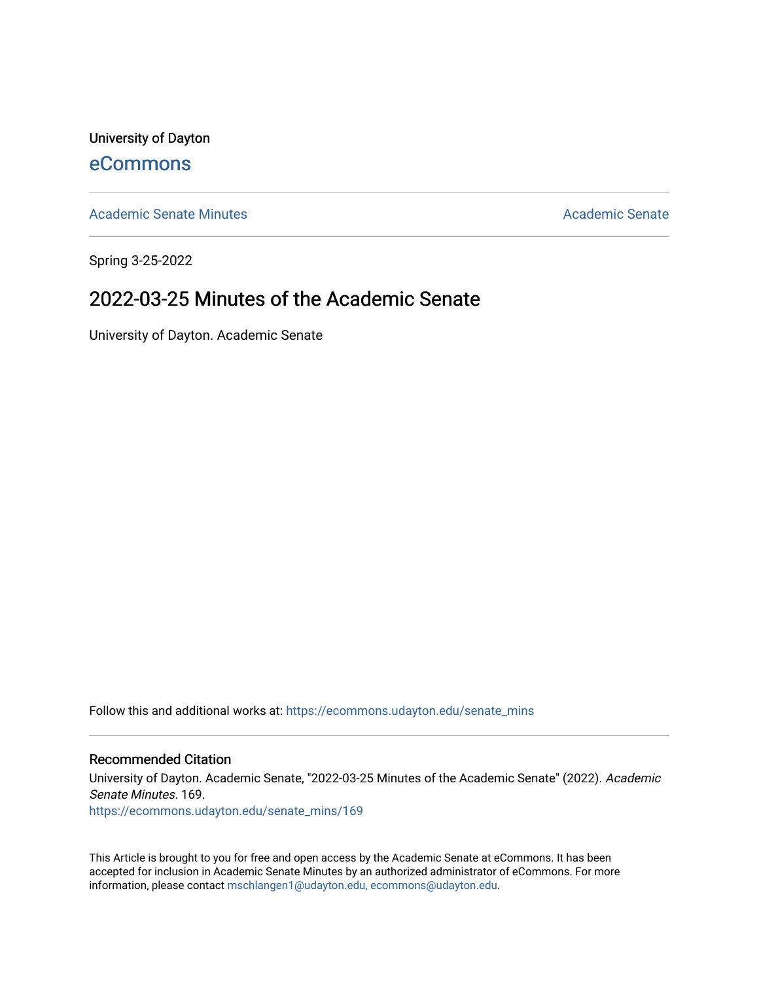University of Dayton [eCommons](https://ecommons.udayton.edu/)

[Academic Senate Minutes](https://ecommons.udayton.edu/senate_mins) [Academic Senate](https://ecommons.udayton.edu/academic_senate) Academic Senate

Spring 3-25-2022

# 2022-03-25 Minutes of the Academic Senate

University of Dayton. Academic Senate

Follow this and additional works at: [https://ecommons.udayton.edu/senate\\_mins](https://ecommons.udayton.edu/senate_mins?utm_source=ecommons.udayton.edu%2Fsenate_mins%2F169&utm_medium=PDF&utm_campaign=PDFCoverPages)

#### Recommended Citation

University of Dayton. Academic Senate, "2022-03-25 Minutes of the Academic Senate" (2022). Academic Senate Minutes. 169.

[https://ecommons.udayton.edu/senate\\_mins/169](https://ecommons.udayton.edu/senate_mins/169?utm_source=ecommons.udayton.edu%2Fsenate_mins%2F169&utm_medium=PDF&utm_campaign=PDFCoverPages)

This Article is brought to you for free and open access by the Academic Senate at eCommons. It has been accepted for inclusion in Academic Senate Minutes by an authorized administrator of eCommons. For more information, please contact [mschlangen1@udayton.edu, ecommons@udayton.edu](mailto:mschlangen1@udayton.edu,%20ecommons@udayton.edu).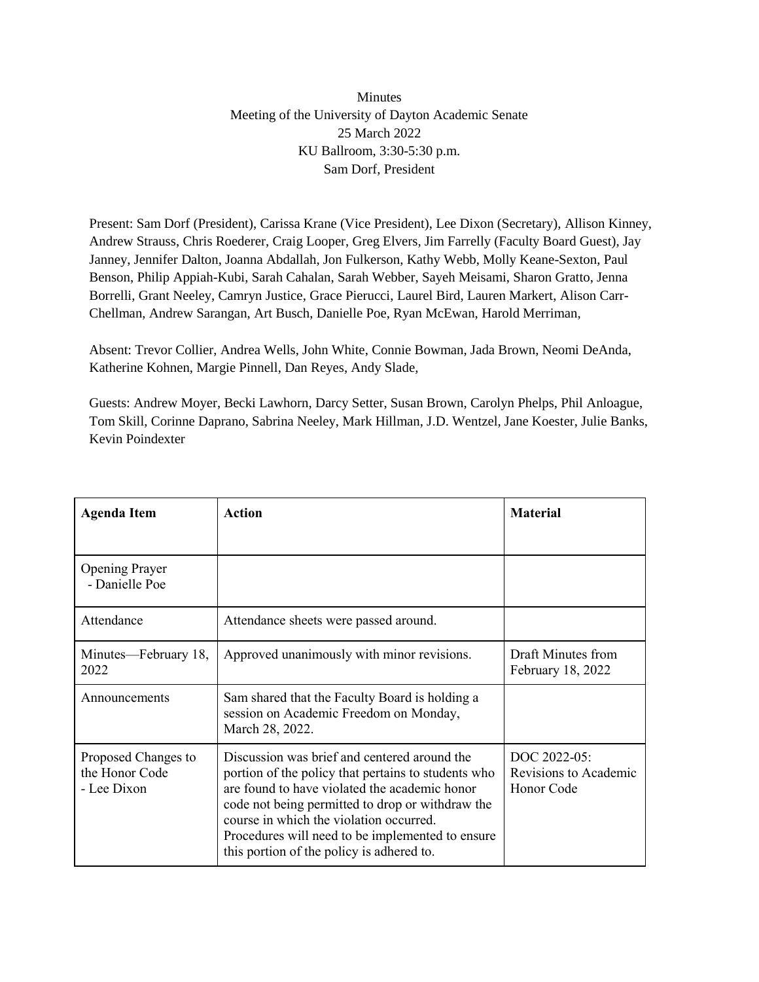### Minutes Meeting of the University of Dayton Academic Senate 25 March 2022 KU Ballroom, 3:30-5:30 p.m. Sam Dorf, President

Present: Sam Dorf (President), Carissa Krane (Vice President), Lee Dixon (Secretary), Allison Kinney, Andrew Strauss, Chris Roederer, Craig Looper, Greg Elvers, Jim Farrelly (Faculty Board Guest), Jay Janney, Jennifer Dalton, Joanna Abdallah, Jon Fulkerson, Kathy Webb, Molly Keane-Sexton, Paul Benson, Philip Appiah-Kubi, Sarah Cahalan, Sarah Webber, Sayeh Meisami, Sharon Gratto, Jenna Borrelli, Grant Neeley, Camryn Justice, Grace Pierucci, Laurel Bird, Lauren Markert, Alison Carr-Chellman, Andrew Sarangan, Art Busch, Danielle Poe, Ryan McEwan, Harold Merriman,

Absent: Trevor Collier, Andrea Wells, John White, Connie Bowman, Jada Brown, Neomi DeAnda, Katherine Kohnen, Margie Pinnell, Dan Reyes, Andy Slade,

Guests: Andrew Moyer, Becki Lawhorn, Darcy Setter, Susan Brown, Carolyn Phelps, Phil Anloague, Tom Skill, Corinne Daprano, Sabrina Neeley, Mark Hillman, J.D. Wentzel, Jane Koester, Julie Banks, Kevin Poindexter

| <b>Agenda Item</b>                                   | <b>Action</b>                                                                                                                                                                                                                                                                                                                                        | <b>Material</b>                                     |
|------------------------------------------------------|------------------------------------------------------------------------------------------------------------------------------------------------------------------------------------------------------------------------------------------------------------------------------------------------------------------------------------------------------|-----------------------------------------------------|
|                                                      |                                                                                                                                                                                                                                                                                                                                                      |                                                     |
| <b>Opening Prayer</b><br>- Danielle Poe              |                                                                                                                                                                                                                                                                                                                                                      |                                                     |
| Attendance                                           | Attendance sheets were passed around.                                                                                                                                                                                                                                                                                                                |                                                     |
| Minutes—February 18,<br>2022                         | Approved unanimously with minor revisions.                                                                                                                                                                                                                                                                                                           | Draft Minutes from<br>February 18, 2022             |
| Announcements                                        | Sam shared that the Faculty Board is holding a<br>session on Academic Freedom on Monday,<br>March 28, 2022.                                                                                                                                                                                                                                          |                                                     |
| Proposed Changes to<br>the Honor Code<br>- Lee Dixon | Discussion was brief and centered around the<br>portion of the policy that pertains to students who<br>are found to have violated the academic honor<br>code not being permitted to drop or withdraw the<br>course in which the violation occurred.<br>Procedures will need to be implemented to ensure<br>this portion of the policy is adhered to. | DOC 2022-05:<br>Revisions to Academic<br>Honor Code |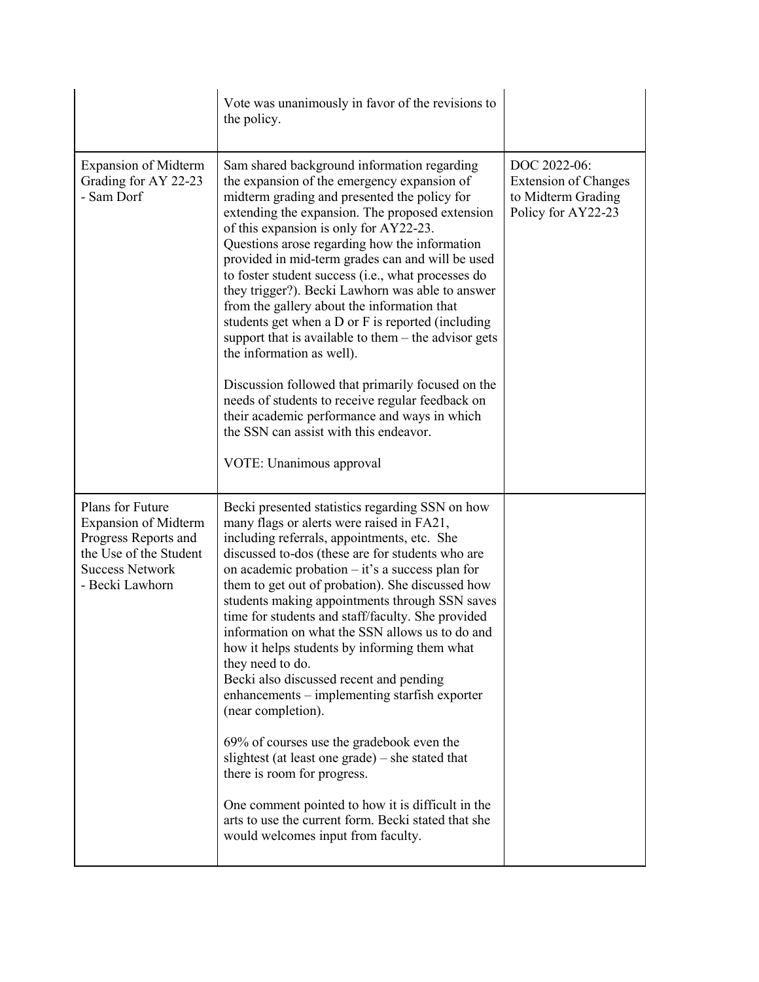|                                                                                                                                                | Vote was unanimously in favor of the revisions to<br>the policy.                                                                                                                                                                                                                                                                                                                                                                                                                                                                                                                                                                                                                                                                                                                                                                                                                                                                           |                                                                                         |
|------------------------------------------------------------------------------------------------------------------------------------------------|--------------------------------------------------------------------------------------------------------------------------------------------------------------------------------------------------------------------------------------------------------------------------------------------------------------------------------------------------------------------------------------------------------------------------------------------------------------------------------------------------------------------------------------------------------------------------------------------------------------------------------------------------------------------------------------------------------------------------------------------------------------------------------------------------------------------------------------------------------------------------------------------------------------------------------------------|-----------------------------------------------------------------------------------------|
| <b>Expansion of Midterm</b><br>Grading for AY 22-23<br>- Sam Dorf                                                                              | Sam shared background information regarding<br>the expansion of the emergency expansion of<br>midterm grading and presented the policy for<br>extending the expansion. The proposed extension<br>of this expansion is only for AY22-23.<br>Questions arose regarding how the information<br>provided in mid-term grades can and will be used<br>to foster student success (i.e., what processes do<br>they trigger?). Becki Lawhorn was able to answer<br>from the gallery about the information that<br>students get when a D or F is reported (including<br>support that is available to them $-$ the advisor gets<br>the information as well).<br>Discussion followed that primarily focused on the<br>needs of students to receive regular feedback on<br>their academic performance and ways in which<br>the SSN can assist with this endeavor.<br>VOTE: Unanimous approval                                                           | DOC 2022-06:<br><b>Extension of Changes</b><br>to Midterm Grading<br>Policy for AY22-23 |
| Plans for Future<br><b>Expansion of Midterm</b><br>Progress Reports and<br>the Use of the Student<br><b>Success Network</b><br>- Becki Lawhorn | Becki presented statistics regarding SSN on how<br>many flags or alerts were raised in FA21,<br>including referrals, appointments, etc. She<br>discussed to-dos (these are for students who are<br>on academic probation $-$ it's a success plan for<br>them to get out of probation). She discussed how<br>students making appointments through SSN saves<br>time for students and staff/faculty. She provided<br>information on what the SSN allows us to do and<br>how it helps students by informing them what<br>they need to do.<br>Becki also discussed recent and pending<br>enhancements – implementing starfish exporter<br>(near completion).<br>69% of courses use the gradebook even the<br>slightest (at least one grade) – she stated that<br>there is room for progress.<br>One comment pointed to how it is difficult in the<br>arts to use the current form. Becki stated that she<br>would welcomes input from faculty. |                                                                                         |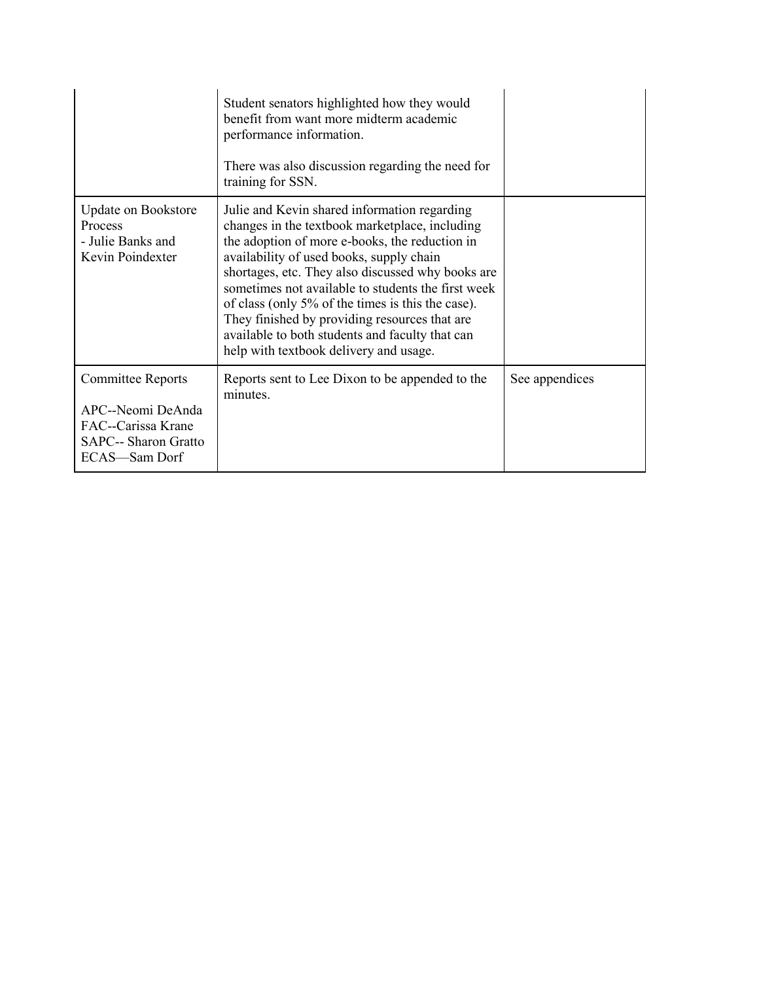|                                                                                                                     | Student senators highlighted how they would<br>benefit from want more midterm academic<br>performance information.<br>There was also discussion regarding the need for<br>training for SSN.                                                                                                                                                                                                                                                                                                                |                |
|---------------------------------------------------------------------------------------------------------------------|------------------------------------------------------------------------------------------------------------------------------------------------------------------------------------------------------------------------------------------------------------------------------------------------------------------------------------------------------------------------------------------------------------------------------------------------------------------------------------------------------------|----------------|
| <b>Update on Bookstore</b><br>Process<br>- Julie Banks and<br>Kevin Poindexter                                      | Julie and Kevin shared information regarding<br>changes in the textbook marketplace, including<br>the adoption of more e-books, the reduction in<br>availability of used books, supply chain<br>shortages, etc. They also discussed why books are<br>sometimes not available to students the first week<br>of class (only 5% of the times is this the case).<br>They finished by providing resources that are<br>available to both students and faculty that can<br>help with textbook delivery and usage. |                |
| <b>Committee Reports</b><br>APC--Neomi DeAnda<br>FAC--Carissa Krane<br><b>SAPC-- Sharon Gratto</b><br>ECAS-Sam Dorf | Reports sent to Lee Dixon to be appended to the<br>minutes.                                                                                                                                                                                                                                                                                                                                                                                                                                                | See appendices |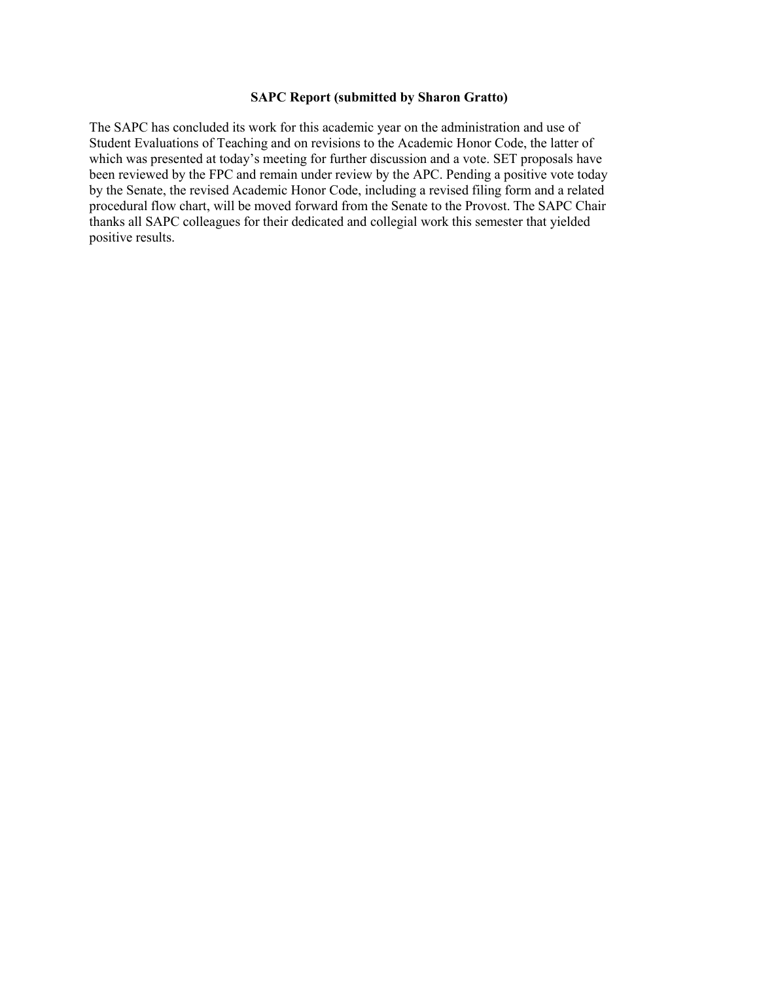#### **SAPC Report (submitted by Sharon Gratto)**

The SAPC has concluded its work for this academic year on the administration and use of Student Evaluations of Teaching and on revisions to the Academic Honor Code, the latter of which was presented at today's meeting for further discussion and a vote. SET proposals have been reviewed by the FPC and remain under review by the APC. Pending a positive vote today by the Senate, the revised Academic Honor Code, including a revised filing form and a related procedural flow chart, will be moved forward from the Senate to the Provost. The SAPC Chair thanks all SAPC colleagues for their dedicated and collegial work this semester that yielded positive results.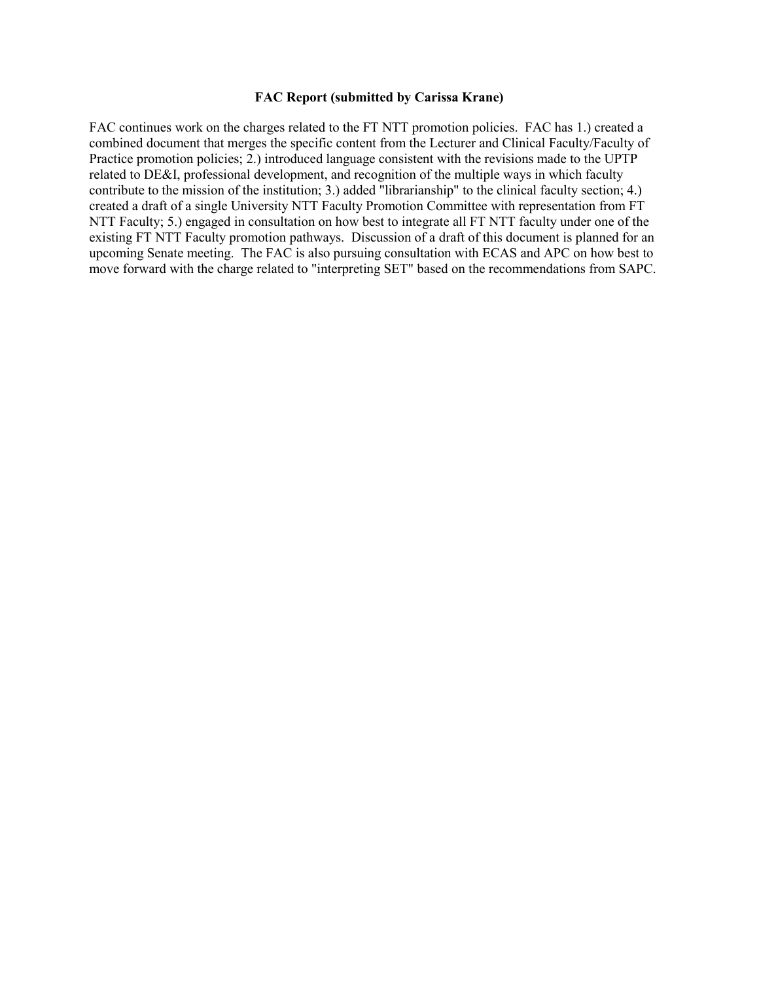#### **FAC Report (submitted by Carissa Krane)**

FAC continues work on the charges related to the FT NTT promotion policies. FAC has 1.) created a combined document that merges the specific content from the Lecturer and Clinical Faculty/Faculty of Practice promotion policies; 2.) introduced language consistent with the revisions made to the UPTP related to DE&I, professional development, and recognition of the multiple ways in which faculty contribute to the mission of the institution; 3.) added "librarianship" to the clinical faculty section; 4.) created a draft of a single University NTT Faculty Promotion Committee with representation from FT NTT Faculty; 5.) engaged in consultation on how best to integrate all FT NTT faculty under one of the existing FT NTT Faculty promotion pathways. Discussion of a draft of this document is planned for an upcoming Senate meeting. The FAC is also pursuing consultation with ECAS and APC on how best to move forward with the charge related to "interpreting SET" based on the recommendations from SAPC.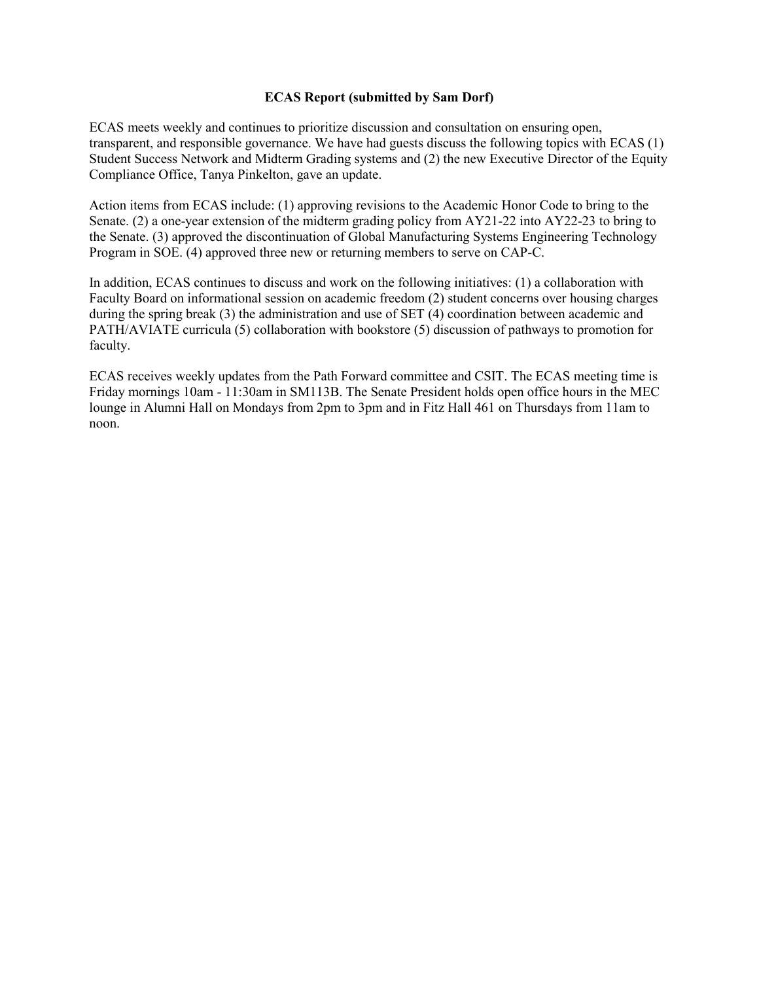#### **ECAS Report (submitted by Sam Dorf)**

ECAS meets weekly and continues to prioritize discussion and consultation on ensuring open, transparent, and responsible governance. We have had guests discuss the following topics with ECAS (1) Student Success Network and Midterm Grading systems and (2) the new Executive Director of the Equity Compliance Office, Tanya Pinkelton, gave an update.

Action items from ECAS include: (1) approving revisions to the Academic Honor Code to bring to the Senate. (2) a one-year extension of the midterm grading policy from AY21-22 into AY22-23 to bring to the Senate. (3) approved the discontinuation of Global Manufacturing Systems Engineering Technology Program in SOE. (4) approved three new or returning members to serve on CAP-C.

In addition, ECAS continues to discuss and work on the following initiatives: (1) a collaboration with Faculty Board on informational session on academic freedom (2) student concerns over housing charges during the spring break (3) the administration and use of SET (4) coordination between academic and PATH/AVIATE curricula (5) collaboration with bookstore (5) discussion of pathways to promotion for faculty.

ECAS receives weekly updates from the Path Forward committee and CSIT. The ECAS meeting time is Friday mornings 10am - 11:30am in SM113B. The Senate President holds open office hours in the MEC lounge in Alumni Hall on Mondays from 2pm to 3pm and in Fitz Hall 461 on Thursdays from 11am to noon.